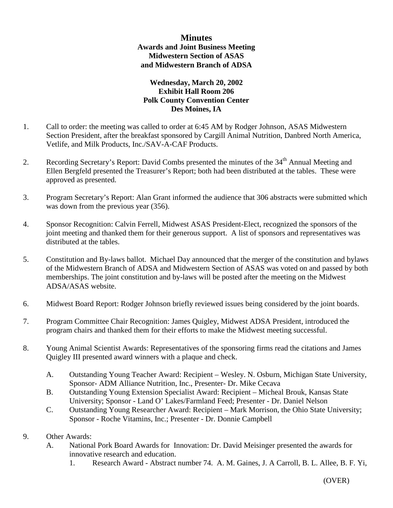## **Minutes Awards and Joint Business Meeting Midwestern Section of ASAS and Midwestern Branch of ADSA**

## **Wednesday, March 20, 2002 Exhibit Hall Room 206 Polk County Convention Center Des Moines, IA**

- 1. Call to order: the meeting was called to order at 6:45 AM by Rodger Johnson, ASAS Midwestern Section President, after the breakfast sponsored by Cargill Animal Nutrition, Danbred North America, Vetlife, and Milk Products, Inc./SAV-A-CAF Products.
- 2. Recording Secretary's Report: David Combs presented the minutes of the 34<sup>th</sup> Annual Meeting and Ellen Bergfeld presented the Treasurer's Report; both had been distributed at the tables. These were approved as presented.
- 3. Program Secretary's Report: Alan Grant informed the audience that 306 abstracts were submitted which was down from the previous year (356).
- 4. Sponsor Recognition: Calvin Ferrell, Midwest ASAS President-Elect, recognized the sponsors of the joint meeting and thanked them for their generous support. A list of sponsors and representatives was distributed at the tables.
- 5. Constitution and By-laws ballot. Michael Day announced that the merger of the constitution and bylaws of the Midwestern Branch of ADSA and Midwestern Section of ASAS was voted on and passed by both memberships. The joint constitution and by-laws will be posted after the meeting on the Midwest ADSA/ASAS website.
- 6. Midwest Board Report: Rodger Johnson briefly reviewed issues being considered by the joint boards.
- 7. Program Committee Chair Recognition: James Quigley, Midwest ADSA President, introduced the program chairs and thanked them for their efforts to make the Midwest meeting successful.
- 8. Young Animal Scientist Awards: Representatives of the sponsoring firms read the citations and James Quigley III presented award winners with a plaque and check.
	- A. Outstanding Young Teacher Award: Recipient Wesley. N. Osburn, Michigan State University, Sponsor- ADM Alliance Nutrition, Inc., Presenter- Dr. Mike Cecava
	- B. Outstanding Young Extension Specialist Award: Recipient Micheal Brouk, Kansas State University; Sponsor - Land O' Lakes/Farmland Feed; Presenter - Dr. Daniel Nelson
	- C. Outstanding Young Researcher Award: Recipient Mark Morrison, the Ohio State University; Sponsor - Roche Vitamins, Inc.; Presenter - Dr. Donnie Campbell
- 9. Other Awards:
	- A. National Pork Board Awards for Innovation: Dr. David Meisinger presented the awards for innovative research and education.
		- 1. Research Award Abstract number 74. A. M. Gaines, J. A Carroll, B. L. Allee, B. F. Yi,

(OVER)